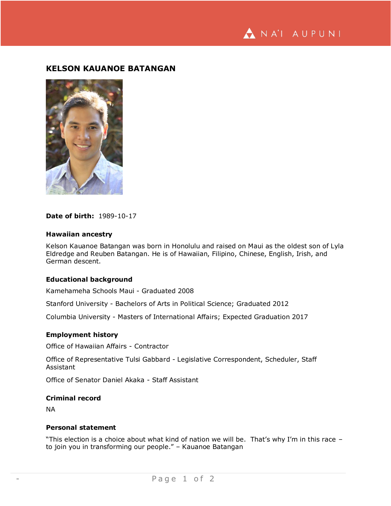ANA'I AUPUNI

# **KELSON KAUANOE BATANGAN**



# **Date of birth:** 1989-10-17

#### **Hawaiian ancestry**

Kelson Kauanoe Batangan was born in Honolulu and raised on Maui as the oldest son of Lyla Eldredge and Reuben Batangan. He is of Hawaiian, Filipino, Chinese, English, Irish, and German descent.

# **Educational background**

Kamehameha Schools Maui - Graduated 2008

Stanford University - Bachelors of Arts in Political Science; Graduated 2012

Columbia University - Masters of International Affairs; Expected Graduation 2017

# **Employment history**

Office of Hawaiian Affairs - Contractor

Office of Representative Tulsi Gabbard - Legislative Correspondent, Scheduler, Staff Assistant

Office of Senator Daniel Akaka - Staff Assistant

#### **Criminal record**

NA

# **Personal statement**

"This election is a choice about what kind of nation we will be. That's why I'm in this race – to join you in transforming our people." – Kauanoe Batangan